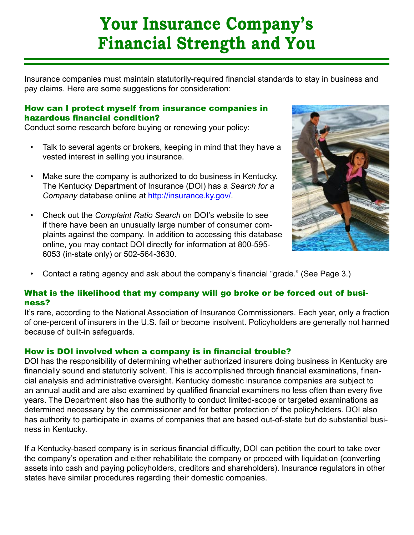# **Your Insurance Company's Financial Strength and You**

Insurance companies must maintain statutorily-required financial standards to stay in business and pay claims. Here are some suggestions for consideration:

## How can I protect myself from insurance companies in hazardous financial condition?

Conduct some research before buying or renewing your policy:

- Talk to several agents or brokers, keeping in mind that they have a vested interest in selling you insurance. •
- Make sure the company is authorized to do business in Kentucky. The Kentucky Department of Insurance (DOI) has a *Search for a Company* database online at http://insurance.ky.gov/. •
- Check out the *Complaint Ratio Search* on DOI's website to see if there have been an unusually large number of consumer complaints against the company. In addition to accessing this database online, you may contact DOI directly for information at 800-595- 6053 (in-state only) or 502-564-3630. •



Contact a rating agency and ask about the company's financial "grade." (See Page 3.) •

# What is the likelihood that my company will go broke or be forced out of business?

It's rare, according to the National Association of Insurance Commissioners. Each year, only a fraction of one-percent of insurers in the U.S. fail or become insolvent. Policyholders are generally not harmed because of built-in safeguards.

# How is DOI involved when a company is in financial trouble?

DOI has the responsibility of determining whether authorized insurers doing business in Kentucky are financially sound and statutorily solvent. This is accomplished through financial examinations, financial analysis and administrative oversight. Kentucky domestic insurance companies are subject to an annual audit and are also examined by qualified financial examiners no less often than every five years. The Department also has the authority to conduct limited-scope or targeted examinations as determined necessary by the commissioner and for better protection of the policyholders. DOI also has authority to participate in exams of companies that are based out-of-state but do substantial business in Kentucky.

If a Kentucky-based company is in serious financial difficulty, DOI can petition the court to take over the company's operation and either rehabilitate the company or proceed with liquidation (converting assets into cash and paying policyholders, creditors and shareholders). Insurance regulators in other states have similar procedures regarding their domestic companies.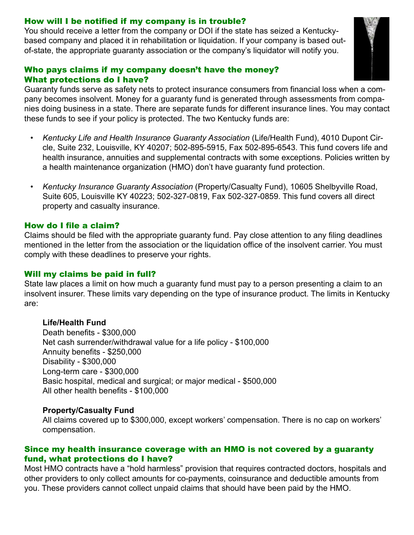## How will I be notified if my company is in trouble?

You should receive a letter from the company or DOI if the state has seized a Kentuckybased company and placed it in rehabilitation or liquidation. If your company is based outof-state, the appropriate guaranty association or the company's liquidator will notify you.

#### Who pays claims if my company doesn't have the money? What protections do I have?

Guaranty funds serve as safety nets to protect insurance consumers from financial loss when a company becomes insolvent. Money for a guaranty fund is generated through assessments from companies doing business in a state. There are separate funds for different insurance lines. You may contact these funds to see if your policy is protected. The two Kentucky funds are:

- *Kentucky Life and Health Insurance Guaranty Association* (Life/Health Fund), 4010 Dupont Circle, Suite 232, Louisville, KY 40207; 502-895-5915, Fax 502-895-6543. This fund covers life and health insurance, annuities and supplemental contracts with some exceptions. Policies written by a health maintenance organization (HMO) don't have guaranty fund protection. *•*
- *Kentucky Insurance Guaranty Association* (Property/Casualty Fund), 10605 Shelbyville Road, Suite 605, Louisville KY 40223; 502-327-0819, Fax 502-327-0859. This fund covers all direct property and casualty insurance. *•*

#### How do I file a claim?

Claims should be filed with the appropriate guaranty fund. Pay close attention to any filing deadlines mentioned in the letter from the association or the liquidation office of the insolvent carrier. You must comply with these deadlines to preserve your rights.

# Will my claims be paid in full?

State law places a limit on how much a guaranty fund must pay to a person presenting a claim to an insolvent insurer. These limits vary depending on the type of insurance product. The limits in Kentucky are:

#### **Life/Health Fund**

Death benefits - \$300,000 Net cash surrender/withdrawal value for a life policy - \$100,000 Annuity benefits - \$250,000 Disability - \$300,000 Long-term care - \$300,000 Basic hospital, medical and surgical; or major medical - \$500,000 All other health benefits - \$100,000

#### **Property/Casualty Fund**

All claims covered up to \$300,000, except workers' compensation. There is no cap on workers' compensation.

#### Since my health insurance coverage with an HMO is not covered by a guaranty fund, what protections do I have?

Most HMO contracts have a "hold harmless" provision that requires contracted doctors, hospitals and other providers to only collect amounts for co-payments, coinsurance and deductible amounts from you. These providers cannot collect unpaid claims that should have been paid by the HMO.